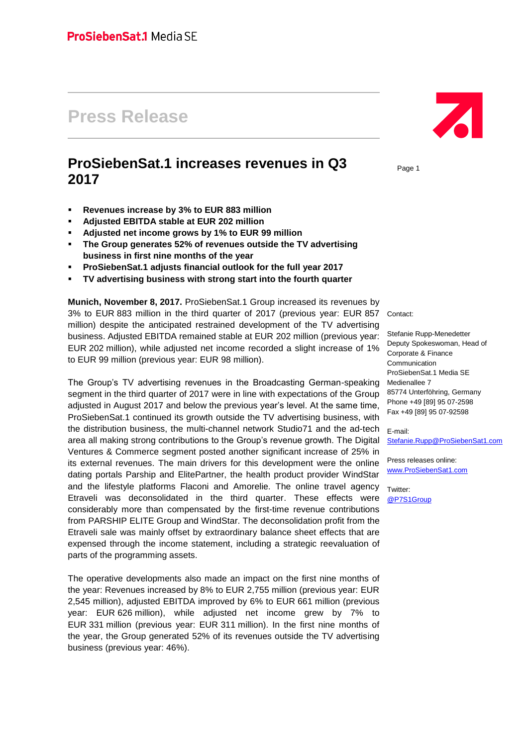# **Press Release**

# **ProSiebenSat.1 increases revenues in Q3 2017**

- **Revenues increase by 3% to EUR 883 million**
- **Adjusted EBITDA stable at EUR 202 million**
- **Adjusted net income grows by 1% to EUR 99 million**
- **The Group generates 52% of revenues outside the TV advertising business in first nine months of the year**
- **ProSiebenSat.1 adjusts financial outlook for the full year 2017**
- **TV advertising business with strong start into the fourth quarter**

**Munich, November 8, 2017.** ProSiebenSat.1 Group increased its revenues by 3% to EUR 883 million in the third quarter of 2017 (previous year: EUR 857 Contact: million) despite the anticipated restrained development of the TV advertising business. Adjusted EBITDA remained stable at EUR 202 million (previous year: EUR 202 million), while adjusted net income recorded a slight increase of 1% to EUR 99 million (previous year: EUR 98 million).

The Group's TV advertising revenues in the Broadcasting German-speaking segment in the third quarter of 2017 were in line with expectations of the Group adjusted in August 2017 and below the previous year's level. At the same time, ProSiebenSat.1 continued its growth outside the TV advertising business, with the distribution business, the multi-channel network Studio71 and the ad-tech area all making strong contributions to the Group's revenue growth. The Digital Ventures & Commerce segment posted another significant increase of 25% in its external revenues. The main drivers for this development were the online dating portals Parship and ElitePartner, the health product provider WindStar and the lifestyle platforms Flaconi and Amorelie. The online travel agency Etraveli was deconsolidated in the third quarter. These effects were considerably more than compensated by the first-time revenue contributions from PARSHIP ELITE Group and WindStar. The deconsolidation profit from the Etraveli sale was mainly offset by extraordinary balance sheet effects that are expensed through the income statement, including a strategic reevaluation of parts of the programming assets.

The operative developments also made an impact on the first nine months of the year: Revenues increased by 8% to EUR 2,755 million (previous year: EUR 2,545 million), adjusted EBITDA improved by 6% to EUR 661 million (previous year: EUR 626 million), while adjusted net income grew by 7% to EUR 331 million (previous year: EUR 311 million). In the first nine months of the year, the Group generated 52% of its revenues outside the TV advertising business (previous year: 46%).

Z

Page 1

Stefanie Rupp-Menedetter Deputy Spokeswoman, Head of Corporate & Finance Communication ProSiebenSat.1 Media SE Medienallee 7 85774 Unterföhring, Germany Phone +49 [89] 95 07-2598 Fax +49 [89] 95 07-92598

E-mail: [Stefanie.Rupp@ProSiebenSat1.com](file:///C:/Users/gi01r/AppData/Local/Microsoft/Windows/Temporary%20Internet%20Files/Content.Outlook/0W29EOXA/Stefanie.Rupp@ProSiebenSat1.com)

Press releases online: [www.ProSiebenSat1.com](http://www.prosiebensat1.com/)

Twitter: [@P7S1Group](https://twitter.com/P7S1Group)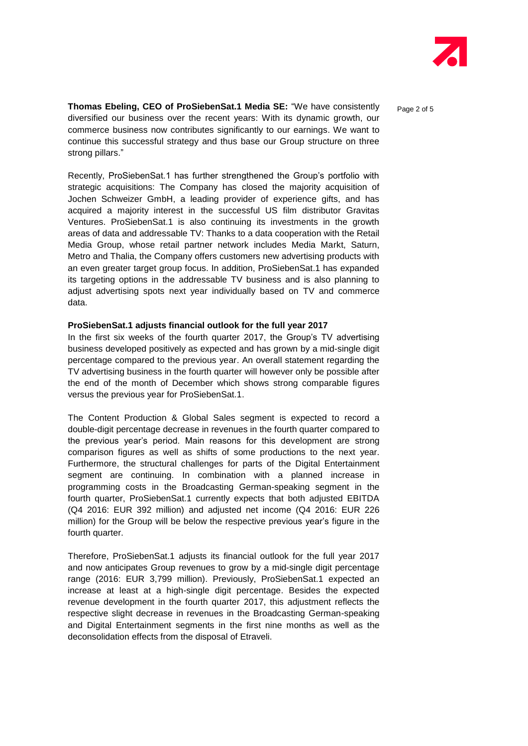

**Thomas Ebeling, CEO of ProSiebenSat.1 Media SE:** "We have consistently enge 2 of 5 diversified our business over the recent years: With its dynamic growth, our commerce business now contributes significantly to our earnings. We want to continue this successful strategy and thus base our Group structure on three strong pillars."

Recently, ProSiebenSat.1 has further strengthened the Group's portfolio with strategic acquisitions: The Company has closed the majority acquisition of Jochen Schweizer GmbH, a leading provider of experience gifts, and has acquired a majority interest in the successful US film distributor Gravitas Ventures. ProSiebenSat.1 is also continuing its investments in the growth areas of data and addressable TV: Thanks to a data cooperation with the Retail Media Group, whose retail partner network includes Media Markt, Saturn, Metro and Thalia, the Company offers customers new advertising products with an even greater target group focus. In addition, ProSiebenSat.1 has expanded its targeting options in the addressable TV business and is also planning to adjust advertising spots next year individually based on TV and commerce data.

#### **ProSiebenSat.1 adjusts financial outlook for the full year 2017**

In the first six weeks of the fourth quarter 2017, the Group's TV advertising business developed positively as expected and has grown by a mid-single digit percentage compared to the previous year. An overall statement regarding the TV advertising business in the fourth quarter will however only be possible after the end of the month of December which shows strong comparable figures versus the previous year for ProSiebenSat.1.

The Content Production & Global Sales segment is expected to record a double-digit percentage decrease in revenues in the fourth quarter compared to the previous year's period. Main reasons for this development are strong comparison figures as well as shifts of some productions to the next year. Furthermore, the structural challenges for parts of the Digital Entertainment segment are continuing. In combination with a planned increase in programming costs in the Broadcasting German-speaking segment in the fourth quarter, ProSiebenSat.1 currently expects that both adjusted EBITDA (Q4 2016: EUR 392 million) and adjusted net income (Q4 2016: EUR 226 million) for the Group will be below the respective previous year's figure in the fourth quarter.

Therefore, ProSiebenSat.1 adjusts its financial outlook for the full year 2017 and now anticipates Group revenues to grow by a mid-single digit percentage range (2016: EUR 3,799 million). Previously, ProSiebenSat.1 expected an increase at least at a high-single digit percentage. Besides the expected revenue development in the fourth quarter 2017, this adjustment reflects the respective slight decrease in revenues in the Broadcasting German-speaking and Digital Entertainment segments in the first nine months as well as the deconsolidation effects from the disposal of Etraveli.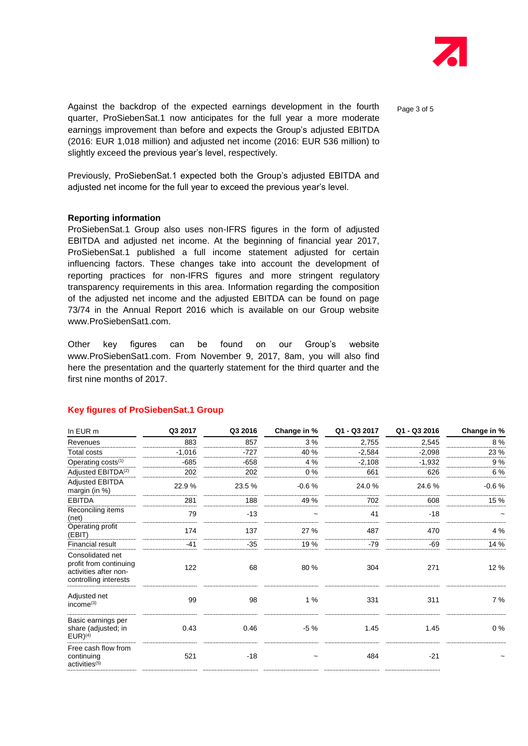

Against the backdrop of the expected earnings development in the fourth  $P_{\text{age 3 of 5}}$ quarter, ProSiebenSat.1 now anticipates for the full year a more moderate earnings improvement than before and expects the Group's adjusted EBITDA (2016: EUR 1,018 million) and adjusted net income (2016: EUR 536 million) to slightly exceed the previous year's level, respectively.

Previously, ProSiebenSat.1 expected both the Group's adjusted EBITDA and adjusted net income for the full year to exceed the previous year's level.

#### **Reporting information**

ProSiebenSat.1 Group also uses non-IFRS figures in the form of adjusted EBITDA and adjusted net income. At the beginning of financial year 2017, ProSiebenSat.1 published a full income statement adjusted for certain influencing factors. These changes take into account the development of reporting practices for non-IFRS figures and more stringent regulatory transparency requirements in this area. Information regarding the composition of the adjusted net income and the adjusted EBITDA can be found on page 73/74 in the Annual Report 2016 which is available on our Group website www.ProSiebenSat1.com.

Other key figures can be found on our Group's website www.ProSiebenSat1.com. From November 9, 2017, 8am, you will also find here the presentation and the quarterly statement for the third quarter and the first nine months of 2017.

| In EUR m                                                                                     | Q3 2017  | Q3 2016 | Change in % | Q1 - Q3 2017 | Q1 - Q3 2016 | Change in % |
|----------------------------------------------------------------------------------------------|----------|---------|-------------|--------------|--------------|-------------|
| Revenues                                                                                     | 883      | 857     | 3%          | 2,755        | 2,545        | 8%          |
| Total costs                                                                                  | $-1,016$ | $-727$  | 40 %        | $-2,584$     | $-2,098$     | 23 %        |
| Operating costs <sup>(1)</sup>                                                               | $-685$   | $-658$  | 4 %         | $-2,108$     | $-1,932$     | 9%          |
| Adjusted EBITDA <sup>(2)</sup>                                                               | 202      | 202     | $0\%$       | 661          | 626          | 6 %         |
| <b>Adjusted EBITDA</b><br>margin (in %)                                                      | 22.9%    | 23.5 %  | $-0.6%$     | 24.0%        | 24.6%        | $-0.6%$     |
| <b>EBITDA</b>                                                                                | 281      | 188     | 49 %        | 702          | 608          | 15 %        |
| Reconciling items<br>(net)                                                                   | 79       | $-13$   |             | 41           | $-18$        |             |
| Operating profit<br>(EBIT)                                                                   | 174      | 137     | 27 %        | 487          | 470          | 4 %         |
| Financial result                                                                             | $-41$    | $-35$   | 19 %        | $-79$        | $-69$        | 14 %        |
| Consolidated net<br>profit from continuing<br>activities after non-<br>controlling interests | 122      | 68      | 80 %        | 304          | 271          | 12 %        |
| Adjusted net<br>income $(3)$                                                                 | 99       | 98      | 1%          | 331          | 311          | 7 %         |
| Basic earnings per<br>share (adjusted; in<br>$EUR)^{(4)}$                                    | 0.43     | 0.46    | $-5\%$      | 1.45         | 1.45         | $0\%$       |
| Free cash flow from<br>continuing<br>activities <sup>(5)</sup>                               | 521      | $-18$   |             | 484          | $-21$        |             |

#### **Key figures of ProSiebenSat.1 Group**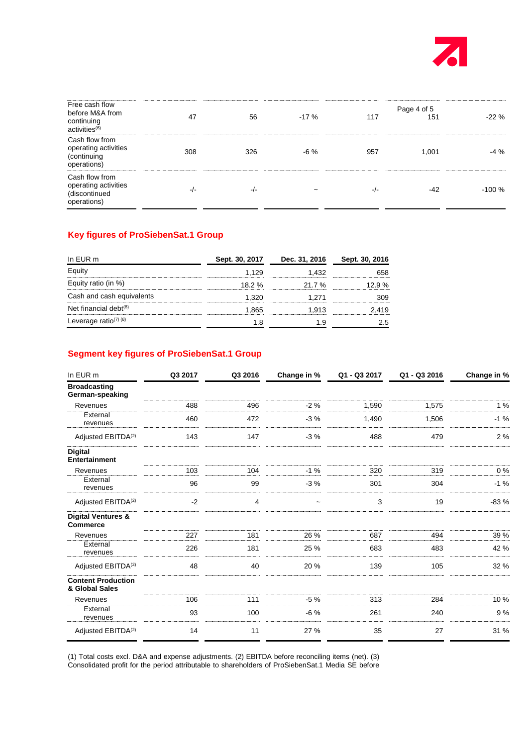

| Free cash flow<br>before M&A from<br>continuing<br>activities <sup>(6)</sup> | 47     | 56     | $-17%$                | 117 | Page 4 of 5<br>151 | $-22%$  |
|------------------------------------------------------------------------------|--------|--------|-----------------------|-----|--------------------|---------|
| Cash flow from<br>operating activities<br>(continuing<br>operations)         | 308    | 326    | -6 %                  | 957 | 1.001              | $-4\%$  |
| Cash flow from<br>operating activities<br>(discontinued<br>operations)       | $-I -$ | $-I -$ | $\tilde{\phantom{a}}$ | -/- | -42                | $-100%$ |

### **Key figures of ProSiebenSat.1 Group**

| In EUR m                  | Sept. 30, 2017 | Dec. 31, 2016 | Sept. 30, 2016 |  |
|---------------------------|----------------|---------------|----------------|--|
|                           | 1.129          | -432          |                |  |
| uity ratio (in %).        | $18.2 \%$      | 21.7%         | 12 9 %         |  |
| Cash and cash equivalents | ∣.320          | 1.271         |                |  |
| Net financial debt $(8)$  | .865           | 1.913         |                |  |
| Leverage ratio( $7)$ (8)  |                |               | ה י            |  |

## **Segment key figures of ProSiebenSat.1 Group**

| In EUR m                                         | Q3 2017 | Q3 2016 | Change in % | Q1 - Q3 2017 | Q1 - Q3 2016 | Change in % |
|--------------------------------------------------|---------|---------|-------------|--------------|--------------|-------------|
| <b>Broadcasting</b><br>German-speaking           |         |         |             |              |              |             |
| Revenues                                         | 488     | 496     | $-2%$       | 1,590        | 1,575        | 1%          |
| External<br>revenues                             | 460     | 472     | $-3%$       | 1,490        | 1,506        | $-1%$       |
| Adjusted EBITDA <sup>(2)</sup>                   | 143     | 147     | $-3%$       | 488          | 479          | 2 %         |
| <b>Digital</b><br><b>Entertainment</b>           |         |         |             |              |              |             |
| Revenues                                         | 103     | 104     | $-1%$       | 320          | 319          | 0%          |
| External<br>revenues                             | 96      | 99      | $-3%$       | 301          | 304          | $-1%$       |
| Adjusted EBITDA <sup>(2)</sup>                   | $-2$    | 4       | $\tilde{}$  | 3            | 19           | $-83%$      |
| <b>Digital Ventures &amp;</b><br><b>Commerce</b> |         |         |             |              |              |             |
| Revenues                                         | 227     | 181     | 26 %        | 687          | 494          | 39 %        |
| External<br>revenues                             | 226     | 181     | 25 %        | 683          | 483          | 42 %        |
| Adjusted EBITDA <sup>(2)</sup>                   | 48      | 40      | 20 %        | 139          | 105          | 32 %        |
| <b>Content Production</b><br>& Global Sales      |         |         |             |              |              |             |
| Revenues                                         | 106     | 111     | $-5%$       | 313          | 284          | 10%         |
| External<br>revenues                             | 93      | 100     | $-6%$       | 261          | 240          | 9%          |
| Adjusted EBITDA <sup>(2)</sup>                   | 14      | 11      | 27 %        | 35           | 27           | 31 %        |

(1) Total costs excl. D&A and expense adjustments. (2) EBITDA before reconciling items (net). (3) Consolidated profit for the period attributable to shareholders of ProSiebenSat.1 Media SE before